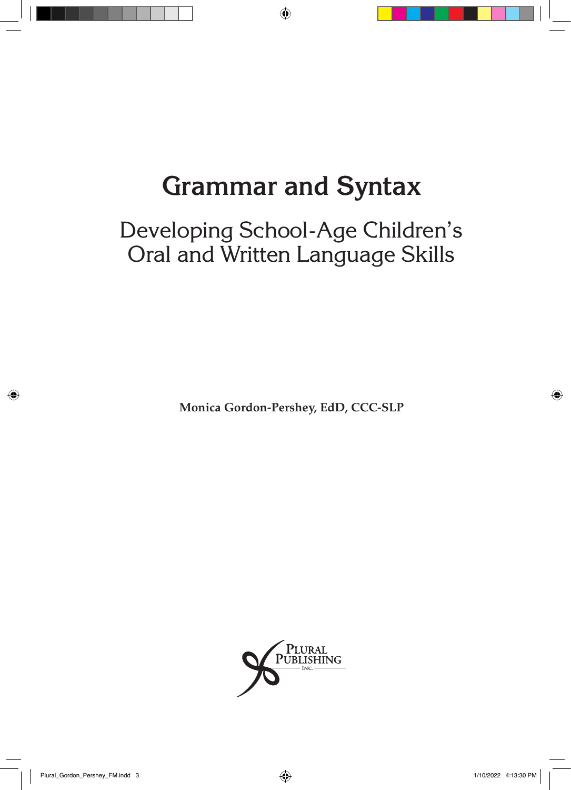# **Grammar and Syntax**

 $\bigoplus$ 

Developing School-Age Children's Oral and Written Language Skills

**Monica Gordon-Pershey, EdD, CCC-SLP**



 $\bigoplus$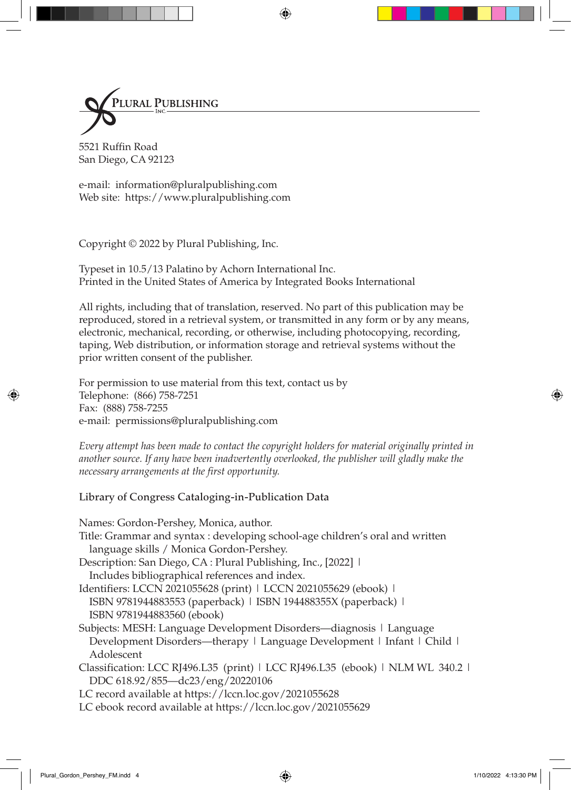

5521 Ruffin Road San Diego, CA 92123

e-mail: information@pluralpublishing.com Web site: https://www.pluralpublishing.com

Copyright © 2022 by Plural Publishing, Inc.

Typeset in 10.5/13 Palatino by Achorn International Inc. Printed in the United States of America by Integrated Books International

All rights, including that of translation, reserved. No part of this publication may be reproduced, stored in a retrieval system, or transmitted in any form or by any means, electronic, mechanical, recording, or otherwise, including photocopying, recording, taping, Web distribution, or information storage and retrieval systems without the prior written consent of the publisher.

For permission to use material from this text, contact us by Telephone: (866) 758-7251 Fax: (888) 758-7255 e-mail: permissions@pluralpublishing.com

*Every attempt has been made to contact the copyright holders for material originally printed in another source. If any have been inadvertently overlooked, the publisher will gladly make the necessary arrangements at the first opportunity.*

#### Library of Congress Cataloging-in-Publication Data

Names: Gordon-Pershey, Monica, author. Title: Grammar and syntax : developing school-age children's oral and written language skills / Monica Gordon-Pershey. Description: San Diego, CA : Plural Publishing, Inc., [2022] | Includes bibliographical references and index. Identifiers: LCCN 2021055628 (print) | LCCN 2021055629 (ebook) | ISBN 9781944883553 (paperback) | ISBN 194488355X (paperback) | ISBN 9781944883560 (ebook) Subjects: MESH: Language Development Disorders—diagnosis | Language Development Disorders—therapy | Language Development | Infant | Child | Adolescent Classification: LCC RJ496.L35 (print) | LCC RJ496.L35 (ebook) | NLM WL 340.2 | DDC 618.92/855—dc23/eng/20220106 LC record available at https://lccn.loc.gov/2021055628 LC ebook record available at https://lccn.loc.gov/2021055629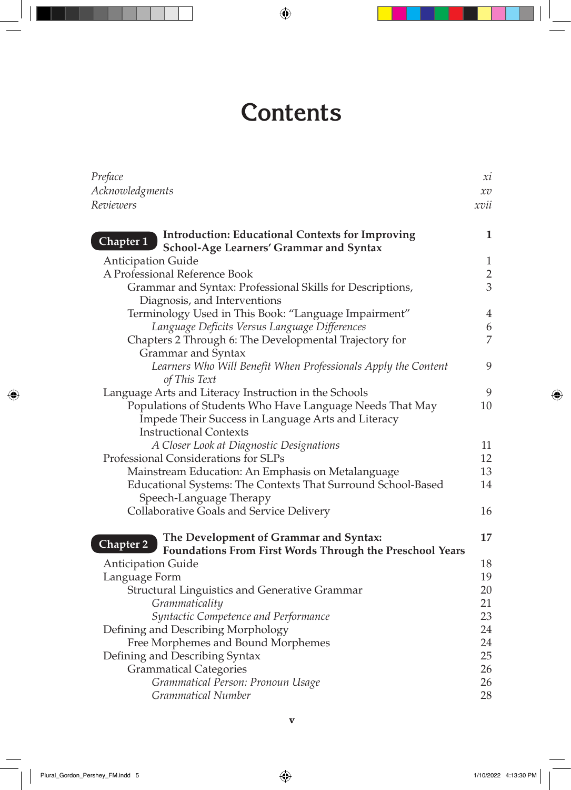# **Contents**

 $\bigoplus$ 

| Preface                                                                                                                                         | xi             |
|-------------------------------------------------------------------------------------------------------------------------------------------------|----------------|
| Acknowledgments                                                                                                                                 | xv             |
| Reviewers                                                                                                                                       | xvii           |
| <b>Introduction: Educational Contexts for Improving</b><br>Chapter 1<br>School-Age Learners' Grammar and Syntax                                 | 1              |
| <b>Anticipation Guide</b>                                                                                                                       | $\mathbf{1}$   |
| A Professional Reference Book                                                                                                                   | $\overline{2}$ |
| Grammar and Syntax: Professional Skills for Descriptions,<br>Diagnosis, and Interventions                                                       | $\overline{3}$ |
| Terminology Used in This Book: "Language Impairment"                                                                                            | $\overline{4}$ |
| Language Deficits Versus Language Differences                                                                                                   | 6              |
| Chapters 2 Through 6: The Developmental Trajectory for                                                                                          | $\overline{7}$ |
| Grammar and Syntax                                                                                                                              |                |
| Learners Who Will Benefit When Professionals Apply the Content<br>of This Text                                                                  | 9              |
| Language Arts and Literacy Instruction in the Schools                                                                                           | 9              |
| Populations of Students Who Have Language Needs That May<br>Impede Their Success in Language Arts and Literacy<br><b>Instructional Contexts</b> | 10             |
| A Closer Look at Diagnostic Designations                                                                                                        | 11             |
| Professional Considerations for SLPs                                                                                                            | 12             |
| Mainstream Education: An Emphasis on Metalanguage                                                                                               | 13             |
| Educational Systems: The Contexts That Surround School-Based                                                                                    | 14             |
| Speech-Language Therapy                                                                                                                         |                |
| <b>Collaborative Goals and Service Delivery</b>                                                                                                 | 16             |
| The Development of Grammar and Syntax:                                                                                                          | 17             |
| <b>Chapter 2</b><br>Foundations From First Words Through the Preschool Years                                                                    |                |
| <b>Anticipation Guide</b>                                                                                                                       | 18             |
| Language Form                                                                                                                                   | 19             |
| Structural Linguistics and Generative Grammar                                                                                                   | 20             |
| Grammaticality                                                                                                                                  | 21             |
| <b>Syntactic Competence and Performance</b>                                                                                                     | 23             |
| Defining and Describing Morphology                                                                                                              | 24             |
| Free Morphemes and Bound Morphemes                                                                                                              | 24             |
| Defining and Describing Syntax                                                                                                                  | 25             |
| <b>Grammatical Categories</b>                                                                                                                   | 26             |
| Grammatical Person: Pronoun Usage                                                                                                               | 26             |
| <b>Grammatical Number</b>                                                                                                                       | 28             |

 $\bigoplus$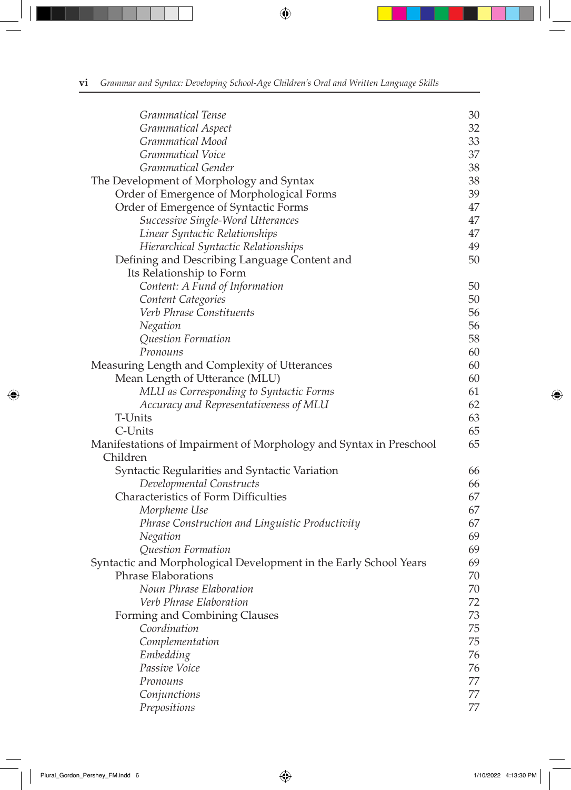| <b>Grammatical Tense</b>                                                       | 30 |
|--------------------------------------------------------------------------------|----|
| <b>Grammatical Aspect</b>                                                      | 32 |
| Grammatical Mood                                                               | 33 |
| Grammatical Voice                                                              | 37 |
| Grammatical Gender                                                             | 38 |
| The Development of Morphology and Syntax                                       | 38 |
| Order of Emergence of Morphological Forms                                      | 39 |
| Order of Emergence of Syntactic Forms                                          | 47 |
| Successive Single-Word Utterances                                              | 47 |
| Linear Syntactic Relationships                                                 | 47 |
| Hierarchical Syntactic Relationships                                           | 49 |
| Defining and Describing Language Content and                                   | 50 |
| Its Relationship to Form                                                       |    |
| Content: A Fund of Information                                                 | 50 |
| Content Categories                                                             | 50 |
| Verb Phrase Constituents                                                       | 56 |
| Negation                                                                       | 56 |
| Question Formation                                                             | 58 |
| Pronouns                                                                       | 60 |
| Measuring Length and Complexity of Utterances                                  | 60 |
| Mean Length of Utterance (MLU)                                                 | 60 |
| MLU as Corresponding to Syntactic Forms                                        | 61 |
| Accuracy and Representativeness of MLU                                         | 62 |
| T-Units                                                                        | 63 |
| C-Units                                                                        | 65 |
| Manifestations of Impairment of Morphology and Syntax in Preschool<br>Children | 65 |
| Syntactic Regularities and Syntactic Variation                                 | 66 |
| Developmental Constructs                                                       | 66 |
| <b>Characteristics of Form Difficulties</b>                                    | 67 |
| Morpheme Use                                                                   | 67 |
| Phrase Construction and Linguistic Productivity                                | 67 |
| Negation                                                                       | 69 |
| Question Formation                                                             | 69 |
| Syntactic and Morphological Development in the Early School Years              | 69 |
| <b>Phrase Elaborations</b>                                                     | 70 |
| Noun Phrase Elaboration                                                        | 70 |
| Verb Phrase Elaboration                                                        | 72 |
| Forming and Combining Clauses                                                  | 73 |
| Coordination                                                                   | 75 |
| Complementation                                                                | 75 |
| Embedding                                                                      | 76 |
| Passive Voice                                                                  | 76 |
| Pronouns                                                                       | 77 |
| Conjunctions                                                                   | 77 |
| Prepositions                                                                   | 77 |
|                                                                                |    |

 $\bigoplus$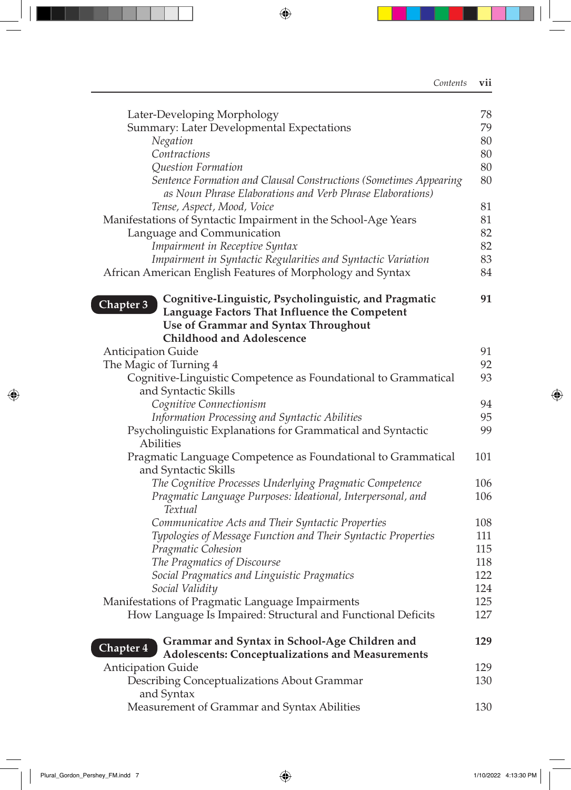|                                                                                                                                | 78  |
|--------------------------------------------------------------------------------------------------------------------------------|-----|
| Later-Developing Morphology                                                                                                    | 79  |
| Summary: Later Developmental Expectations                                                                                      |     |
| Negation                                                                                                                       | 80  |
| Contractions                                                                                                                   | 80  |
| Question Formation                                                                                                             | 80  |
| Sentence Formation and Clausal Constructions (Sometimes Appearing<br>as Noun Phrase Elaborations and Verb Phrase Elaborations) | 80  |
| Tense, Aspect, Mood, Voice                                                                                                     | 81  |
| Manifestations of Syntactic Impairment in the School-Age Years                                                                 | 81  |
| Language and Communication                                                                                                     | 82  |
| Impairment in Receptive Syntax                                                                                                 | 82  |
| Impairment in Syntactic Regularities and Syntactic Variation                                                                   | 83  |
| African American English Features of Morphology and Syntax                                                                     | 84  |
| Cognitive-Linguistic, Psycholinguistic, and Pragmatic<br>Chapter 3<br>Language Factors That Influence the Competent            | 91  |
| Use of Grammar and Syntax Throughout                                                                                           |     |
| <b>Childhood and Adolescence</b>                                                                                               |     |
| <b>Anticipation Guide</b>                                                                                                      | 91  |
| The Magic of Turning 4                                                                                                         | 92  |
| Cognitive-Linguistic Competence as Foundational to Grammatical<br>and Syntactic Skills                                         | 93  |
| Cognitive Connectionism                                                                                                        | 94  |
| Information Processing and Syntactic Abilities                                                                                 | 95  |
| Psycholinguistic Explanations for Grammatical and Syntactic<br><b>Abilities</b>                                                | 99  |
| Pragmatic Language Competence as Foundational to Grammatical<br>and Syntactic Skills                                           | 101 |
| The Cognitive Processes Underlying Pragmatic Competence                                                                        | 106 |
| Pragmatic Language Purposes: Ideational, Interpersonal, and<br>Textual                                                         | 106 |
| Communicative Acts and Their Syntactic Properties                                                                              | 108 |
| Typologies of Message Function and Their Syntactic Properties                                                                  | 111 |
| Pragmatic Cohesion                                                                                                             | 115 |
|                                                                                                                                |     |
| The Pragmatics of Discourse                                                                                                    | 118 |
| Social Pragmatics and Linguistic Pragmatics                                                                                    | 122 |
| Social Validity                                                                                                                | 124 |
| Manifestations of Pragmatic Language Impairments                                                                               | 125 |
| How Language Is Impaired: Structural and Functional Deficits                                                                   | 127 |
| Grammar and Syntax in School-Age Children and<br><b>Chapter 4</b>                                                              | 129 |
| <b>Adolescents: Conceptualizations and Measurements</b>                                                                        |     |
| <b>Anticipation Guide</b>                                                                                                      | 129 |
| Describing Conceptualizations About Grammar<br>and Syntax                                                                      | 130 |
| Measurement of Grammar and Syntax Abilities                                                                                    | 130 |

 $\bigoplus$ 

 $\bigoplus$ 

*Contents* **vii**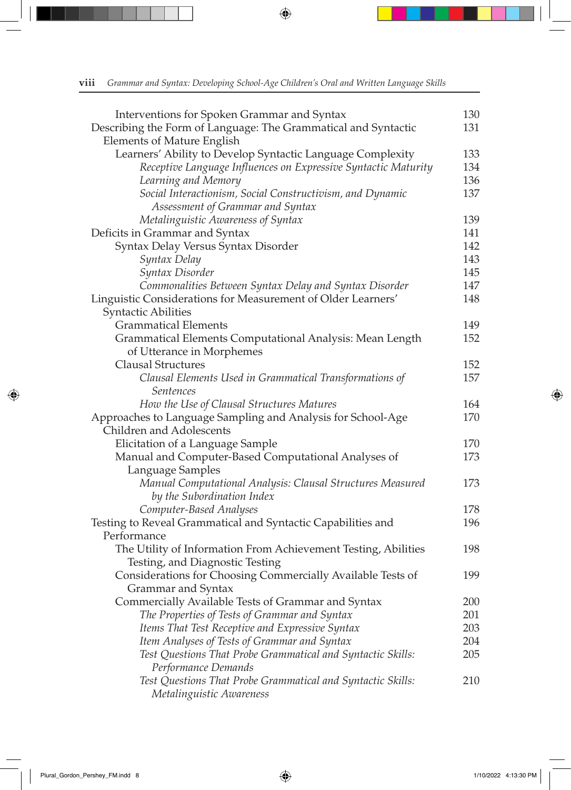| Interventions for Spoken Grammar and Syntax                                                         | 130 |
|-----------------------------------------------------------------------------------------------------|-----|
| Describing the Form of Language: The Grammatical and Syntactic<br><b>Elements of Mature English</b> | 131 |
| Learners' Ability to Develop Syntactic Language Complexity                                          | 133 |
|                                                                                                     | 134 |
| Receptive Language Influences on Expressive Syntactic Maturity                                      |     |
| Learning and Memory                                                                                 | 136 |
| Social Interactionism, Social Constructivism, and Dynamic                                           | 137 |
| Assessment of Grammar and Syntax                                                                    |     |
| Metalinguistic Awareness of Syntax                                                                  | 139 |
| Deficits in Grammar and Syntax                                                                      | 141 |
| Syntax Delay Versus Syntax Disorder                                                                 | 142 |
| Syntax Delay                                                                                        | 143 |
| Syntax Disorder                                                                                     | 145 |
| Commonalities Between Syntax Delay and Syntax Disorder                                              | 147 |
| Linguistic Considerations for Measurement of Older Learners'                                        | 148 |
| <b>Syntactic Abilities</b>                                                                          |     |
| <b>Grammatical Elements</b>                                                                         | 149 |
| Grammatical Elements Computational Analysis: Mean Length                                            | 152 |
| of Utterance in Morphemes                                                                           |     |
| <b>Clausal Structures</b>                                                                           | 152 |
| Clausal Elements Used in Grammatical Transformations of                                             | 157 |
| Sentences                                                                                           |     |
| How the Use of Clausal Structures Matures                                                           | 164 |
| Approaches to Language Sampling and Analysis for School-Age                                         | 170 |
| Children and Adolescents                                                                            |     |
| Elicitation of a Language Sample                                                                    | 170 |
| Manual and Computer-Based Computational Analyses of                                                 | 173 |
| Language Samples                                                                                    |     |
| Manual Computational Analysis: Clausal Structures Measured                                          | 173 |
| by the Subordination Index                                                                          |     |
| Computer-Based Analyses                                                                             | 178 |
| Testing to Reveal Grammatical and Syntactic Capabilities and                                        | 196 |
| Performance                                                                                         |     |
| The Utility of Information From Achievement Testing, Abilities                                      | 198 |
| Testing, and Diagnostic Testing                                                                     |     |
| Considerations for Choosing Commercially Available Tests of                                         | 199 |
| Grammar and Syntax                                                                                  |     |
| Commercially Available Tests of Grammar and Syntax                                                  | 200 |
| The Properties of Tests of Grammar and Syntax                                                       | 201 |
| Items That Test Receptive and Expressive Syntax                                                     | 203 |
| Item Analyses of Tests of Grammar and Syntax                                                        | 204 |
| Test Questions That Probe Grammatical and Syntactic Skills:                                         | 205 |
| Performance Demands                                                                                 |     |
| Test Questions That Probe Grammatical and Syntactic Skills:                                         | 210 |
| Metalinguistic Awareness                                                                            |     |

 $\bigoplus$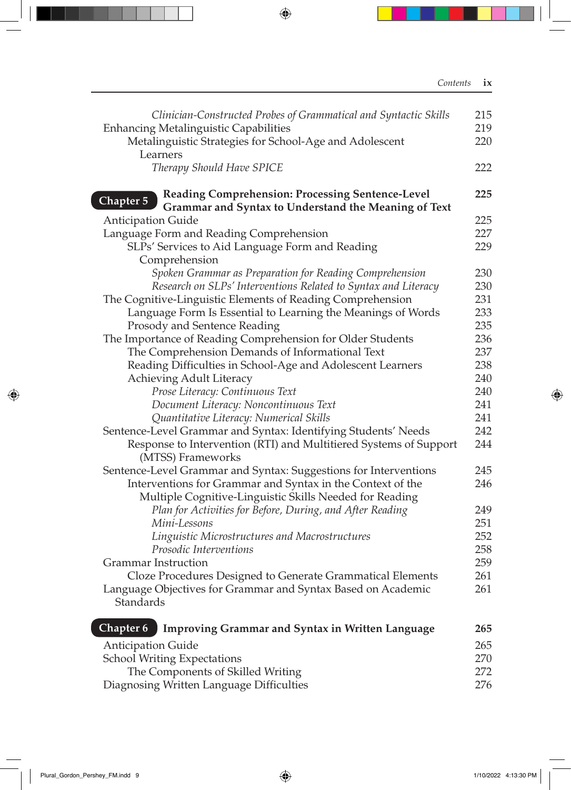|                                                                                        | Contents<br>ix |
|----------------------------------------------------------------------------------------|----------------|
|                                                                                        |                |
| Clinician-Constructed Probes of Grammatical and Syntactic Skills                       | 215            |
| <b>Enhancing Metalinguistic Capabilities</b>                                           | 219            |
| Metalinguistic Strategies for School-Age and Adolescent                                | 220            |
| Learners                                                                               |                |
| Therapy Should Have SPICE                                                              | 222            |
| Reading Comprehension: Processing Sentence-Level                                       | 225            |
| <b>Chapter 5</b><br>Grammar and Syntax to Understand the Meaning of Text               |                |
| <b>Anticipation Guide</b>                                                              | 225            |
| Language Form and Reading Comprehension                                                | 227            |
| SLPs' Services to Aid Language Form and Reading                                        | 229            |
| Comprehension                                                                          |                |
| Spoken Grammar as Preparation for Reading Comprehension                                | 230            |
| Research on SLPs' Interventions Related to Syntax and Literacy                         | 230            |
| The Cognitive-Linguistic Elements of Reading Comprehension                             | 231            |
| Language Form Is Essential to Learning the Meanings of Words                           | 233            |
| Prosody and Sentence Reading                                                           | 235            |
| The Importance of Reading Comprehension for Older Students                             | 236            |
| The Comprehension Demands of Informational Text                                        | 237            |
| Reading Difficulties in School-Age and Adolescent Learners                             | 238            |
| Achieving Adult Literacy                                                               | 240            |
| Prose Literacy: Continuous Text                                                        | 240            |
| Document Literacy: Noncontinuous Text                                                  | 241            |
| Quantitative Literacy: Numerical Skills                                                | 241            |
| Sentence-Level Grammar and Syntax: Identifying Students' Needs                         | 242            |
| Response to Intervention (RTI) and Multitiered Systems of Support<br>(MTSS) Frameworks | 244            |
| Sentence-Level Grammar and Syntax: Suggestions for Interventions                       | 245            |
| Interventions for Grammar and Syntax in the Context of the                             | 246            |
| Multiple Cognitive-Linguistic Skills Needed for Reading                                |                |
| Plan for Activities for Before, During, and After Reading                              | 249            |
| Mini-Lessons                                                                           | 251            |
| Linguistic Microstructures and Macrostructures                                         | 252            |
| Prosodic Interventions                                                                 | 258            |
| <b>Grammar Instruction</b>                                                             | 259            |
| Cloze Procedures Designed to Generate Grammatical Elements                             | 261            |
| Language Objectives for Grammar and Syntax Based on Academic<br><b>Standards</b>       | 261            |
|                                                                                        |                |
| <b>Improving Grammar and Syntax in Written Language</b><br><b>Chapter 6</b>            | 265            |
| <b>Anticipation Guide</b>                                                              | 265            |
| <b>School Writing Expectations</b>                                                     | 270            |
| The Components of Skilled Writing                                                      | 272            |

 $\bigoplus$ 

 $\bigoplus$ 

Diagnosing Written Language Difficulties 276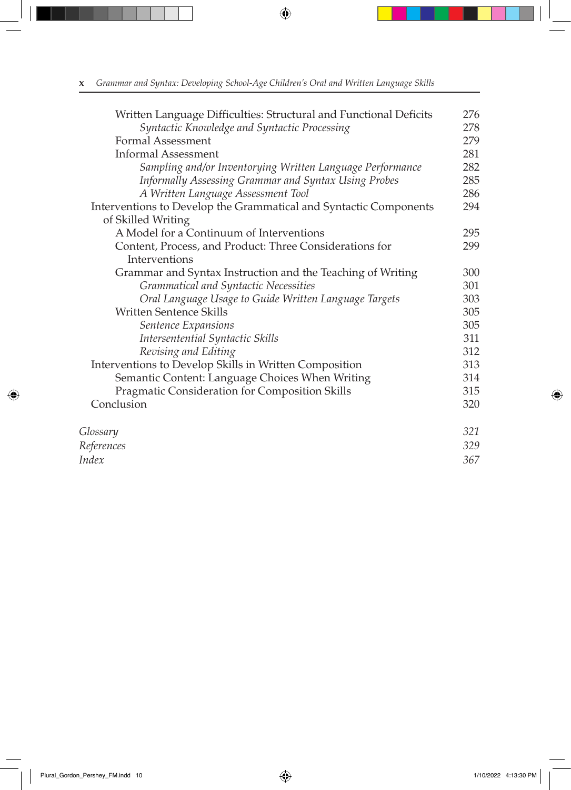| $\mathbf{x}$ |  |  |  |  |  |  | Grammar and Syntax: Developing School-Age Children's Oral and Written Language Skills |
|--------------|--|--|--|--|--|--|---------------------------------------------------------------------------------------|
|--------------|--|--|--|--|--|--|---------------------------------------------------------------------------------------|

| Written Language Difficulties: Structural and Functional Deficits                       | 276 |
|-----------------------------------------------------------------------------------------|-----|
| Syntactic Knowledge and Syntactic Processing                                            | 278 |
| Formal Assessment                                                                       | 279 |
| <b>Informal Assessment</b>                                                              | 281 |
| Sampling and/or Inventorying Written Language Performance                               | 282 |
| Informally Assessing Grammar and Syntax Using Probes                                    | 285 |
| A Written Language Assessment Tool                                                      | 286 |
| Interventions to Develop the Grammatical and Syntactic Components<br>of Skilled Writing | 294 |
| A Model for a Continuum of Interventions                                                | 295 |
| Content, Process, and Product: Three Considerations for                                 | 299 |
| Interventions                                                                           |     |
| Grammar and Syntax Instruction and the Teaching of Writing                              | 300 |
| Grammatical and Syntactic Necessities                                                   | 301 |
| Oral Language Usage to Guide Written Language Targets                                   | 303 |
| Written Sentence Skills                                                                 | 305 |
| Sentence Expansions                                                                     | 305 |
| Intersentential Syntactic Skills                                                        | 311 |
| Revising and Editing                                                                    | 312 |
| Interventions to Develop Skills in Written Composition                                  | 313 |
| Semantic Content: Language Choices When Writing                                         | 314 |
| Pragmatic Consideration for Composition Skills                                          | 315 |
| Conclusion                                                                              | 320 |
| Glossary                                                                                | 321 |
| References                                                                              | 329 |
|                                                                                         |     |

 $\bigoplus$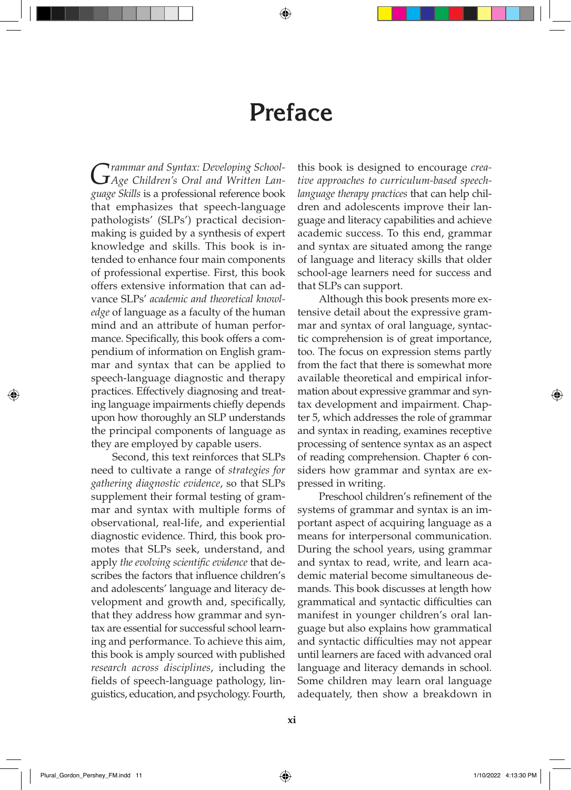## **Preface**

⊕

*Grammar and Syntax: Developing School-Age Children's Oral and Written Language Skills* is a professional reference book that emphasizes that speech-language pathologists' (SLPs') practical decisionmaking is guided by a synthesis of expert knowledge and skills. This book is intended to enhance four main components of professional expertise. First, this book offers extensive information that can advance SLPs' *academic and theoretical knowledge* of language as a faculty of the human mind and an attribute of human performance. Specifically, this book offers a compendium of information on English grammar and syntax that can be applied to speech-language diagnostic and therapy practices. Effectively diagnosing and treating language impairments chiefly depends upon how thoroughly an SLP understands the principal components of language as they are employed by capable users.

Second, this text reinforces that SLPs need to cultivate a range of *strategies for gathering diagnostic evidence*, so that SLPs supplement their formal testing of grammar and syntax with multiple forms of observational, real-life, and experiential diagnostic evidence. Third, this book promotes that SLPs seek, understand, and apply *the evolving scientific evidence* that describes the factors that influence children's and adolescents' language and literacy development and growth and, specifically, that they address how grammar and syntax are essential for successful school learning and performance. To achieve this aim, this book is amply sourced with published *research across disciplines*, including the fields of speech-language pathology, linguistics, education, and psychology. Fourth,

this book is designed to encourage *creative approaches to curriculum-based speechlanguage therapy practices* that can help children and adolescents improve their language and literacy capabilities and achieve academic success. To this end, grammar and syntax are situated among the range of language and literacy skills that older school-age learners need for success and that SLPs can support.

Although this book presents more extensive detail about the expressive grammar and syntax of oral language, syntactic comprehension is of great importance, too. The focus on expression stems partly from the fact that there is somewhat more available theoretical and empirical information about expressive grammar and syntax development and impairment. Chapter 5, which addresses the role of grammar and syntax in reading, examines receptive processing of sentence syntax as an aspect of reading comprehension. Chapter 6 considers how grammar and syntax are expressed in writing.

Preschool children's refinement of the systems of grammar and syntax is an important aspect of acquiring language as a means for interpersonal communication. During the school years, using grammar and syntax to read, write, and learn academic material become simultaneous demands. This book discusses at length how grammatical and syntactic difficulties can manifest in younger children's oral language but also explains how grammatical and syntactic difficulties may not appear until learners are faced with advanced oral language and literacy demands in school. Some children may learn oral language adequately, then show a breakdown in

↔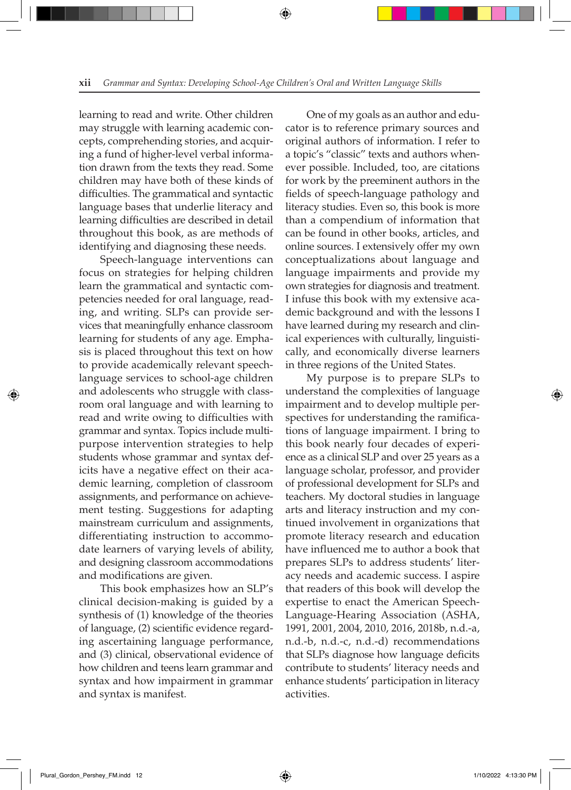learning to read and write. Other children may struggle with learning academic concepts, comprehending stories, and acquiring a fund of higher-level verbal information drawn from the texts they read. Some children may have both of these kinds of difficulties. The grammatical and syntactic language bases that underlie literacy and learning difficulties are described in detail throughout this book, as are methods of identifying and diagnosing these needs.

Speech-language interventions can focus on strategies for helping children learn the grammatical and syntactic competencies needed for oral language, reading, and writing. SLPs can provide services that meaningfully enhance classroom learning for students of any age. Emphasis is placed throughout this text on how to provide academically relevant speechlanguage services to school-age children and adolescents who struggle with classroom oral language and with learning to read and write owing to difficulties with grammar and syntax. Topics include multipurpose intervention strategies to help students whose grammar and syntax deficits have a negative effect on their academic learning, completion of classroom assignments, and performance on achievement testing. Suggestions for adapting mainstream curriculum and assignments, differentiating instruction to accommodate learners of varying levels of ability, and designing classroom accommodations and modifications are given.

This book emphasizes how an SLP's clinical decision-making is guided by a synthesis of (1) knowledge of the theories of language, (2) scientific evidence regarding ascertaining language performance, and (3) clinical, observational evidence of how children and teens learn grammar and syntax and how impairment in grammar and syntax is manifest.

One of my goals as an author and educator is to reference primary sources and original authors of information. I refer to a topic's "classic" texts and authors whenever possible. Included, too, are citations for work by the preeminent authors in the fields of speech-language pathology and literacy studies. Even so, this book is more than a compendium of information that can be found in other books, articles, and online sources. I extensively offer my own conceptualizations about language and language impairments and provide my own strategies for diagnosis and treatment. I infuse this book with my extensive academic background and with the lessons I have learned during my research and clinical experiences with culturally, linguistically, and economically diverse learners in three regions of the United States.

My purpose is to prepare SLPs to understand the complexities of language impairment and to develop multiple perspectives for understanding the ramifications of language impairment. I bring to this book nearly four decades of experience as a clinical SLP and over 25 years as a language scholar, professor, and provider of professional development for SLPs and teachers. My doctoral studies in language arts and literacy instruction and my continued involvement in organizations that promote literacy research and education have influenced me to author a book that prepares SLPs to address students' literacy needs and academic success. I aspire that readers of this book will develop the expertise to enact the American Speech-Language-Hearing Association (ASHA, 1991, 2001, 2004, 2010, 2016, 2018b, n.d.-a, n.d.-b, n.d.-c, n.d.-d) recommendations that SLPs diagnose how language deficits contribute to students' literacy needs and enhance students' participation in literacy activities.

Plural\_Gordon\_Pershey\_FM.indd 12 1/10/2022 4:13:30 PM

⇔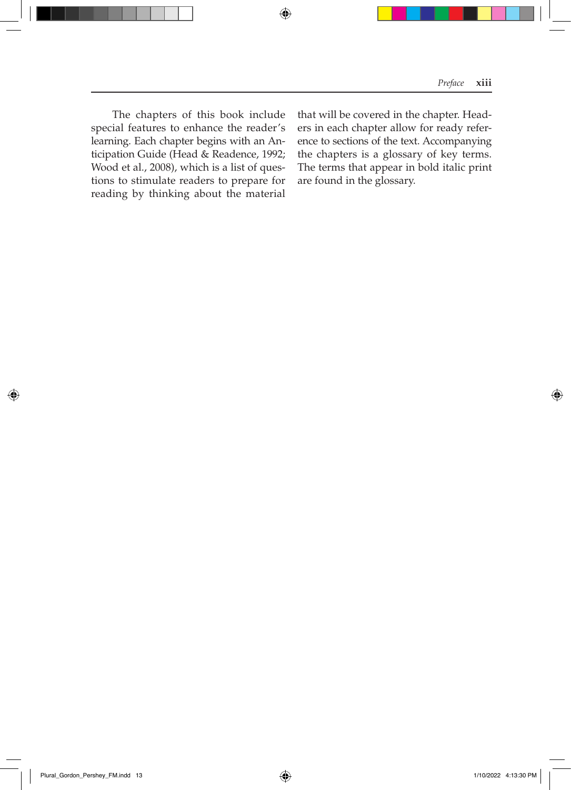*Preface* **xiii**

The chapters of this book include special features to enhance the reader's learning. Each chapter begins with an Anticipation Guide (Head & Readence, 1992; Wood et al., 2008), which is a list of questions to stimulate readers to prepare for reading by thinking about the material

 $\bigoplus$ 

that will be covered in the chapter. Headers in each chapter allow for ready reference to sections of the text. Accompanying the chapters is a glossary of key terms. The terms that appear in bold italic print are found in the glossary.

 $\bigoplus$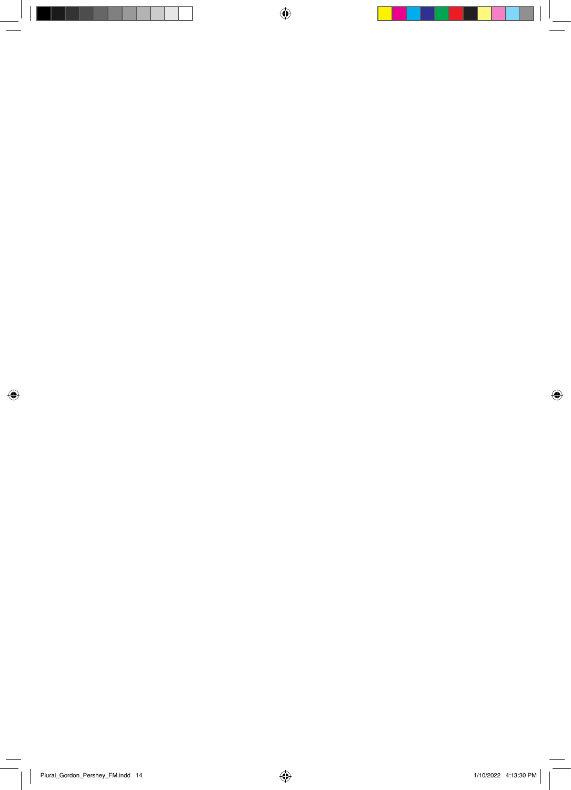

 $\equiv$ 

 $\bigoplus$ 

 $\overline{\phantom{0}}$ 

 $\bigoplus$ 

no I

 $\bigoplus$ 

n di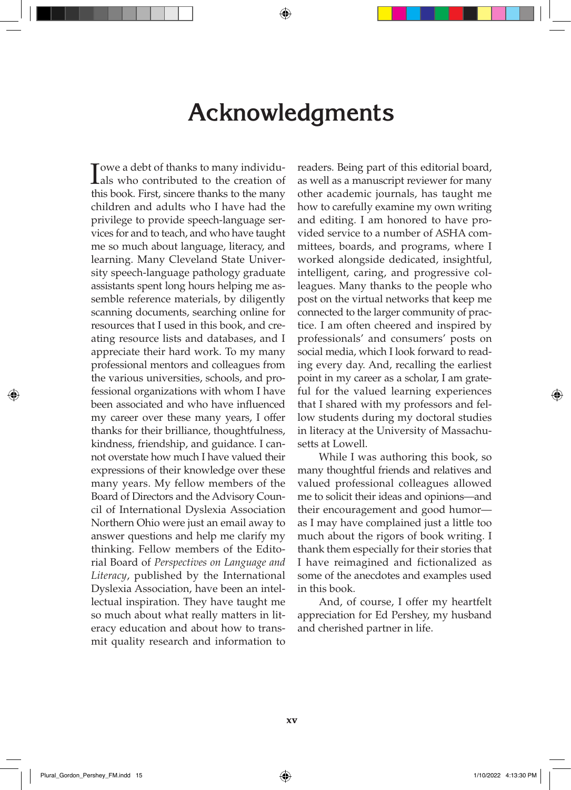## **Acknowledgments**

⊕

I owe a debt of thanks to many individuals who contributed to the creation of this book. First, sincere thanks to the many children and adults who I have had the privilege to provide speech-language ser vices for and to teach, and who have taught me so much about language, literacy, and learning. Many Cleveland State University speech-language pathology graduate assistants spent long hours helping me assemble reference materials, by diligently scanning documents, searching online for resources that I used in this book, and creating resource lists and databases, and I appreciate their hard work. To my many professional mentors and colleagues from the various universities, schools, and professional organizations with whom I have been associated and who have influenced my career over these many years, I offer thanks for their brilliance, thoughtfulness, kindness, friendship, and guidance. I cannot overstate how much I have valued their expressions of their knowledge over these many years. My fellow members of the Board of Directors and the Advisory Council of International Dyslexia Association Northern Ohio were just an email away to answer questions and help me clarify my thinking. Fellow members of the Editorial Board of *Perspectives on Language and Literacy*, published by the International Dyslexia Association, have been an intellectual inspiration. They have taught me so much about what really matters in literacy education and about how to transmit quality research and information to

readers. Being part of this editorial board, as well as a manuscript reviewer for many other academic journals, has taught me how to carefully examine my own writing and editing. I am honored to have provided service to a number of ASHA committees, boards, and programs, where I worked alongside dedicated, insightful, intelligent, caring, and progressive colleagues. Many thanks to the people who post on the virtual networks that keep me connected to the larger community of practice. I am often cheered and inspired by professionals' and consumers' posts on social media, which I look forward to reading every day. And, recalling the earliest point in my career as a scholar, I am grateful for the valued learning experiences that I shared with my professors and fellow students during my doctoral studies in literacy at the University of Massachusetts at Lowell.

While I was authoring this book, so many thoughtful friends and relatives and valued professional colleagues allowed me to solicit their ideas and opinions—and their encouragement and good humor as I may have complained just a little too much about the rigors of book writing. I thank them especially for their stories that I have reimagined and fictionalized as some of the anecdotes and examples used in this book.

And, of course, I offer my heartfelt appreciation for Ed Pershey, my husband and cherished partner in life.

⊕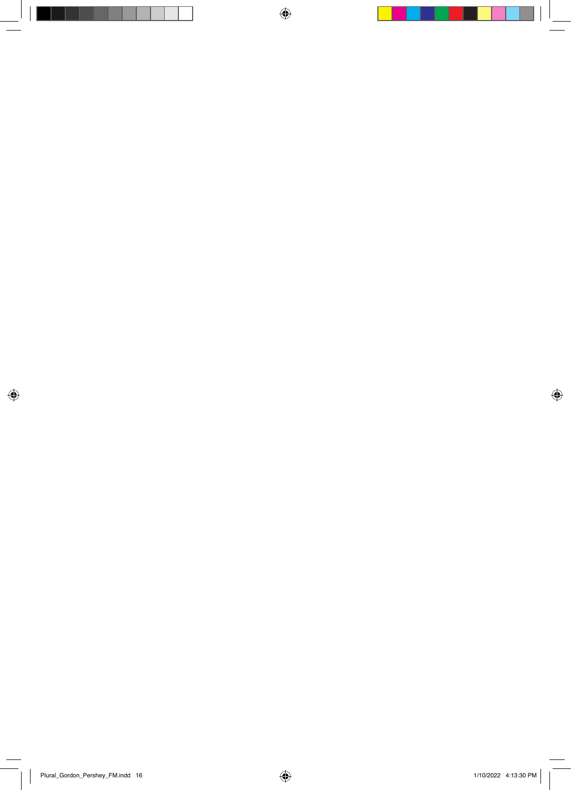

 $\equiv$ 

 $\bigoplus$ 

 $\overline{\phantom{0}}$ 

 $\bigoplus$ 

m L

 $\bigoplus$ 

n di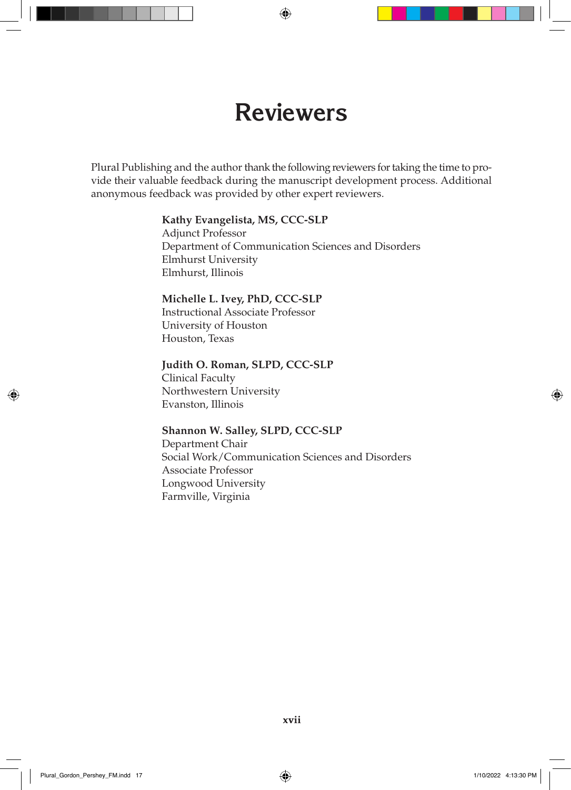## **Reviewers**

 $\bigoplus$ 

Plural Publishing and the author thank the following reviewers for taking the time to provide their valuable feedback during the manuscript development process. Additional anonymous feedback was provided by other expert reviewers.

#### **Kathy Evangelista, MS, CCC-SLP**

Adjunct Professor Department of Communication Sciences and Disorders Elmhurst University Elmhurst, Illinois

#### **Michelle L. Ivey, PhD, CCC-SLP**

Instructional Associate Professor University of Houston Houston, Texas

#### **Judith O. Roman, SLPD, CCC-SLP**

Clinical Faculty Northwestern University Evanston, Illinois

#### **Shannon W. Salley, SLPD, CCC-SLP**

Department Chair Social Work/Communication Sciences and Disorders Associate Professor Longwood University Farmville, Virginia

⊕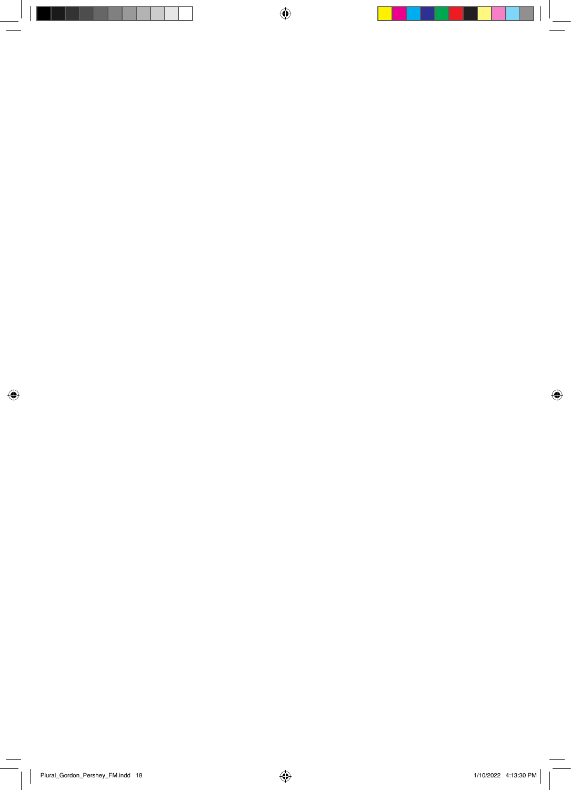

 $\equiv$ 

 $\bigoplus$ 

 $\overline{\phantom{0}}$ 

 $\bigoplus$ 

m L

 $\bigoplus$ 

n di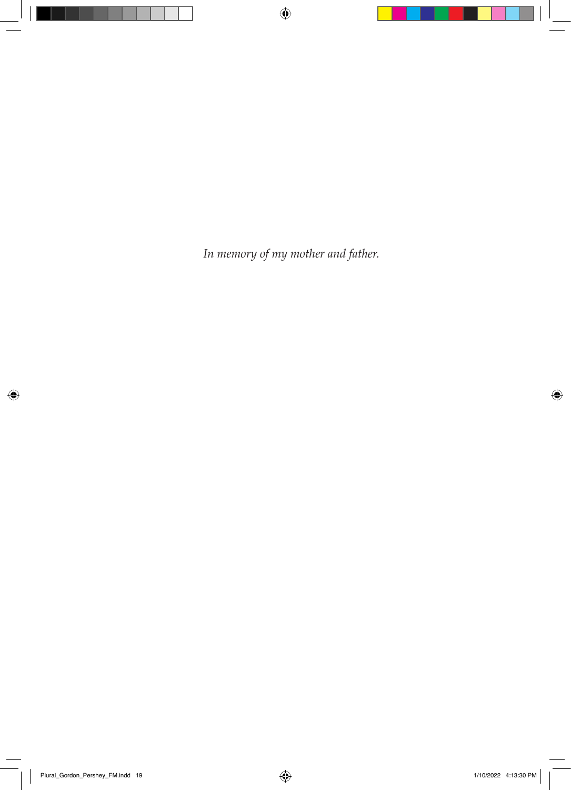*In memory of my mother and father.*

 $\bigoplus$ 

 $\bigoplus$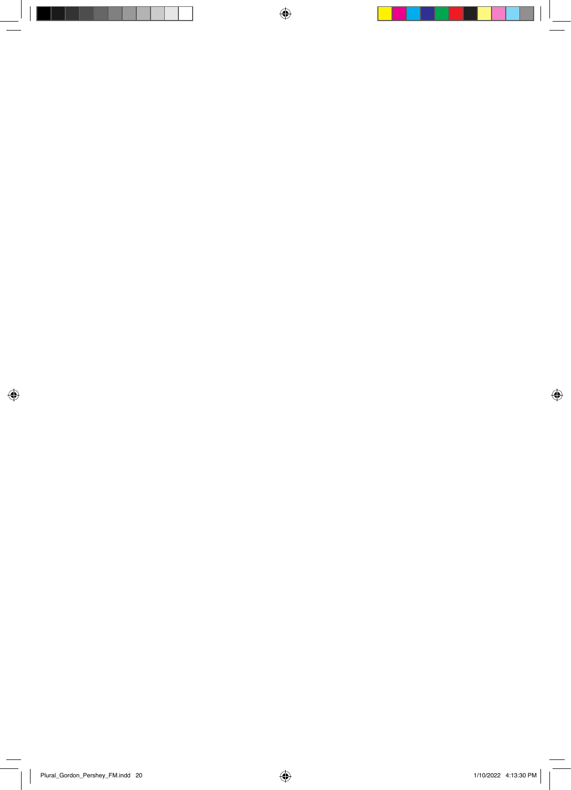

 $\equiv$ 

 $\bigoplus$ 

<u> Listen kan sebagai sebagai sebagai sebagai sebagai sebagai sebagai sebagai sebagai sebagai sebagai sebagai sebagai sebagai sebagai sebagai sebagai sebagai sebagai sebagai sebagai sebagai sebagai sebagai sebagai sebagai s</u>

 $\bigoplus$ 

mar I L

 $\bigoplus$ 

n di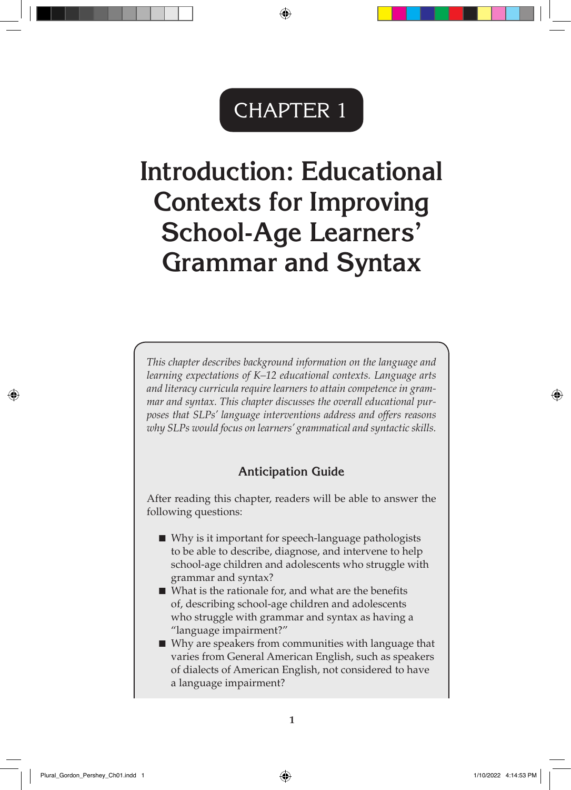# CHAPTER 1

⊕

# **Introduction: Educational Contexts for Improving School-Age Learners' Grammar and Syntax**

*This chapter describes background information on the language and learning expectations of K–12 educational contexts. Language arts and literacy curricula require learners to attain competence in grammar and syntax. This chapter discusses the overall educational purposes that SLPs' language interventions address and offers reasons why SLPs would focus on learners' grammatical and syntactic skills.*

### **Anticipation Guide**

After reading this chapter, readers will be able to answer the following questions:

- $\blacksquare$  Why is it important for speech-language pathologists to be able to describe, diagnose, and intervene to help school-age children and adolescents who struggle with grammar and syntax?
- $\blacksquare$  What is the rationale for, and what are the benefits of, describing school-age children and adolescents who struggle with grammar and syntax as having a "language impairment?"
- $\blacksquare$  Why are speakers from communities with language that varies from General American English, such as speakers of dialects of American English, not considered to have a language impairment?

↔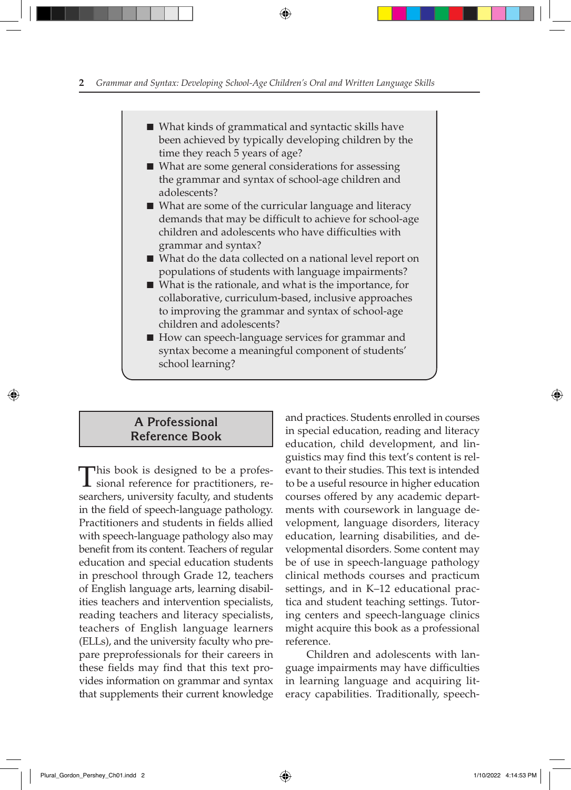- $\blacksquare$  What kinds of grammatical and syntactic skills have been achieved by typically developing children by the time they reach 5 years of age?
- $\blacksquare$  What are some general considerations for assessing the grammar and syntax of school-age children and adolescents?
- $\blacksquare$  What are some of the curricular language and literacy demands that may be difficult to achieve for school-age children and adolescents who have difficulties with grammar and syntax?
- What do the data collected on a national level report on populations of students with language impairments?
- $\blacksquare$  What is the rationale, and what is the importance, for collaborative, curriculum-based, inclusive approaches to improving the grammar and syntax of school-age children and adolescents?
- $\blacksquare$  How can speech-language services for grammar and syntax become a meaningful component of students' school learning?

### **A Professional Reference Book**

This book is designed to be a profes-sional reference for practitioners, researchers, university faculty, and students in the field of speech-language pathology. Practitioners and students in fields allied with speech-language pathology also may benefit from its content. Teachers of regular education and special education students in preschool through Grade 12, teachers of English language arts, learning disabilities teachers and intervention specialists, reading teachers and literacy specialists, teachers of English language learners (ELLs), and the university faculty who prepare preprofessionals for their careers in these fields may find that this text provides information on grammar and syntax that supplements their current knowledge and practices. Students enrolled in courses in special education, reading and literacy education, child development, and linguistics may find this text's content is relevant to their studies. This text is intended to be a useful resource in higher education courses offered by any academic departments with coursework in language development, language disorders, literacy education, learning disabilities, and developmental disorders. Some content may be of use in speech-language pathology clinical methods courses and practicum settings, and in K–12 educational practica and student teaching settings. Tutoring centers and speech-language clinics might acquire this book as a professional reference.

Children and adolescents with language impairments may have difficulties in learning language and acquiring literacy capabilities. Traditionally, speech-

⇔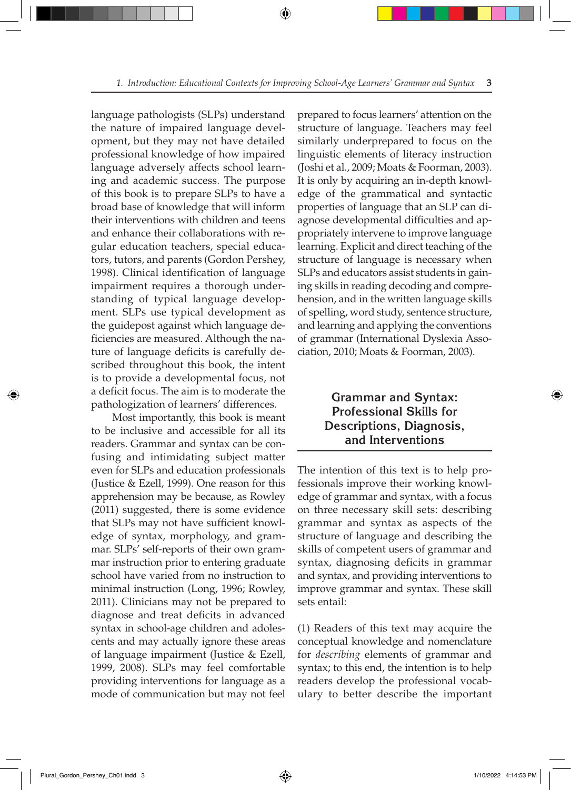*1. Introduction: Educational Contexts for Improving School-Age Learners' Grammar and Syntax* **3**

language pathologists (SLPs) understand the nature of impaired language development, but they may not have detailed professional knowledge of how impaired language adversely affects school learning and academic success. The purpose of this book is to prepare SLPs to have a broad base of knowledge that will inform their interventions with children and teens and enhance their collaborations with regular education teachers, special educators, tutors, and parents (Gordon Pershey, 1998). Clinical identification of language impairment requires a thorough understanding of typical language development. SLPs use typical development as the guidepost against which language deficiencies are measured. Although the nature of language deficits is carefully described throughout this book, the intent is to provide a developmental focus, not a deficit focus. The aim is to moderate the pathologization of learners' differences.

Most importantly, this book is meant to be inclusive and accessible for all its readers. Grammar and syntax can be confusing and intimidating subject matter even for SLPs and education professionals (Justice & Ezell, 1999). One reason for this apprehension may be because, as Rowley (2011) suggested, there is some evidence that SLPs may not have sufficient knowledge of syntax, morphology, and grammar. SLPs' self-reports of their own grammar instruction prior to entering graduate school have varied from no instruction to minimal instruction (Long, 1996; Rowley, 2011). Clinicians may not be prepared to diagnose and treat deficits in advanced syntax in school-age children and adolescents and may actually ignore these areas of language impairment (Justice & Ezell, 1999, 2008). SLPs may feel comfortable providing interventions for language as a mode of communication but may not feel

prepared to focus learners' attention on the structure of language. Teachers may feel similarly underprepared to focus on the linguistic elements of literacy instruction (Joshi et al., 2009; Moats & Foorman, 2003). It is only by acquiring an in-depth knowledge of the grammatical and syntactic properties of language that an SLP can diagnose developmental difficulties and ap propriately intervene to improve language learning. Explicit and direct teaching of the structure of language is necessary when SLPs and educators assist students in gaining skills in reading decoding and comprehension, and in the written language skills of spelling, word study, sentence structure, and learning and applying the conventions of grammar (International Dyslexia Association, 2010; Moats & Foorman, 2003).

### **Grammar and Syntax: Professional Skills for Descriptions, Diagnosis, and Interventions**

The intention of this text is to help professionals improve their working knowledge of grammar and syntax, with a focus on three necessary skill sets: describing grammar and syntax as aspects of the structure of language and describing the skills of competent users of grammar and syntax, diagnosing deficits in grammar and syntax, and providing interventions to improve grammar and syntax. These skill sets entail:

(1) Readers of this text may acquire the conceptual knowledge and nomenclature for *describing* elements of grammar and syntax; to this end, the intention is to help readers develop the professional vocabulary to better describe the important

⇔

↔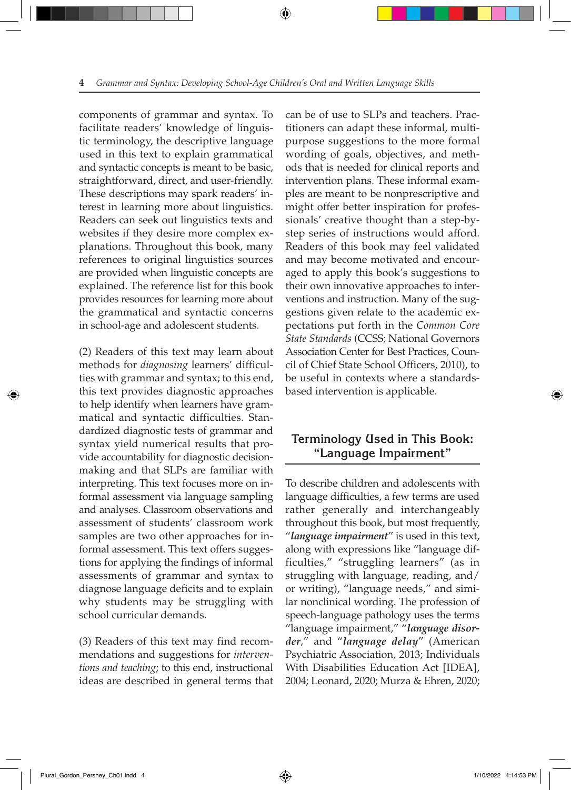components of grammar and syntax. To facilitate readers' knowledge of linguistic terminology, the descriptive language used in this text to explain grammatical and syntactic concepts is meant to be basic, straightforward, direct, and user-friendly. These descriptions may spark readers' interest in learning more about linguistics. Readers can seek out linguistics texts and websites if they desire more complex explanations. Throughout this book, many references to original linguistics sources are provided when linguistic concepts are explained. The reference list for this book provides resources for learning more about the grammatical and syntactic concerns in school-age and adolescent students.

(2) Readers of this text may learn about methods for *diagnosing* learners' difficulties with grammar and syntax; to this end, this text provides diagnostic approaches to help identify when learners have grammatical and syntactic difficulties. Standardized diagnostic tests of grammar and syntax yield numerical results that provide accountability for diagnostic decisionmaking and that SLPs are familiar with interpreting. This text focuses more on informal assessment via language sampling and analyses. Classroom observations and assessment of students' classroom work samples are two other approaches for informal assessment. This text offers suggestions for applying the findings of informal assessments of grammar and syntax to diagnose language deficits and to explain why students may be struggling with school curricular demands.

(3) Readers of this text may find recommendations and suggestions for *interventions and teaching*; to this end, instructional ideas are described in general terms that

can be of use to SLPs and teachers. Practitioners can adapt these informal, multipurpose suggestions to the more formal wording of goals, objectives, and methods that is needed for clinical reports and intervention plans. These informal examples are meant to be nonprescriptive and might offer better inspiration for professionals' creative thought than a step-bystep series of instructions would afford. Readers of this book may feel validated and may become motivated and encouraged to apply this book's suggestions to their own innovative approaches to interventions and instruction. Many of the suggestions given relate to the academic expectations put forth in the *Common Core State Standards* (CCSS; National Governors Association Center for Best Practices, Council of Chief State School Officers, 2010), to be useful in contexts where a standardsbased intervention is applicable.

### **Terminology Used in This Book: "Language Impairment"**

To describe children and adolescents with language difficulties, a few terms are used rather generally and interchangeably throughout this book, but most frequently, "*language impairment*" is used in this text, along with expressions like "language difficulties," "struggling learners" (as in struggling with language, reading, and/ or writing), "language needs," and similar nonclinical wording. The profession of speech-language pathology uses the terms "language impairment," "*language disorder*," and "*language delay*" (American Psychiatric Association, 2013; Individuals With Disabilities Education Act [IDEA], 2004; Leonard, 2020; Murza & Ehren, 2020;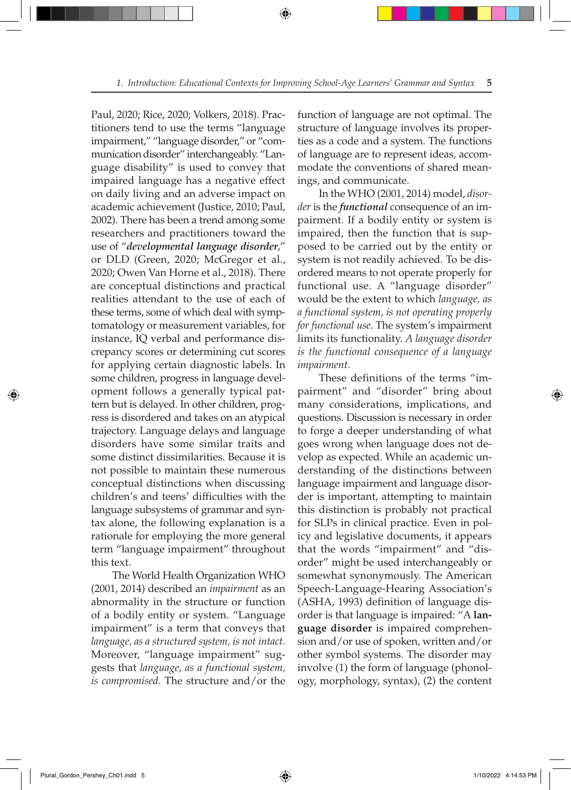Paul, 2020; Rice, 2020; Volkers, 2018). Practitioners tend to use the terms "language impairment," "language disorder," or "communication disorder" interchangeably. "Language disability" is used to convey that impaired language has a negative effect on daily living and an adverse impact on academic achievement (Justice, 2010; Paul, 2002). There has been a trend among some researchers and practitioners toward the use of "*developmental language disorder*," or DLD (Green, 2020; McGregor et al., 2020; Owen Van Horne et al., 2018). There are conceptual distinctions and practical realities attendant to the use of each of these terms, some of which deal with symptomatology or measurement variables, for instance, IQ verbal and performance discrepancy scores or determining cut scores for applying certain diagnostic labels. In some children, progress in language development follows a generally typical pattern but is delayed. In other children, progress is disordered and takes on an atypical trajectory. Language delays and language disorders have some similar traits and some distinct dissimilarities. Because it is not possible to maintain these numerous conceptual distinctions when discussing children's and teens' difficulties with the language subsystems of grammar and syntax alone, the following explanation is a rationale for employing the more general term "language impairment" throughout this text.

The World Health Organization WHO (2001, 2014) described an *impairment* as an abnormality in the structure or function of a bodily entity or system. "Language impairment" is a term that conveys that *language, as a structured system, is not intact*. Moreover, "language impairment" suggests that *language, as a functional system, is compromised*. The structure and/or the

function of language are not optimal. The structure of language involves its properties as a code and a system. The functions of language are to represent ideas, accommodate the conventions of shared meanings, and communicate.

In the WHO (2001, 2014) model, *disorder* is the *functional* consequence of an impairment. If a bodily entity or system is impaired, then the function that is supposed to be carried out by the entity or system is not readily achieved. To be disordered means to not operate properly for functional use. A "language disorder" would be the extent to which *language, as a functional system, is not operating properly for functional use*. The system's impairment limits its functionality. *A language disorder is the functional consequence of a language impairment*.

These definitions of the terms "impairment" and "disorder" bring about many considerations, implications, and questions. Discussion is necessary in order to forge a deeper understanding of what goes wrong when language does not develop as expected. While an academic understanding of the distinctions between language impairment and language disorder is important, attempting to maintain this distinction is probably not practical for SLPs in clinical practice. Even in policy and legislative documents, it appears that the words "impairment" and "disorder" might be used interchangeably or somewhat synonymously. The American Speech-Language-Hearing Association's (ASHA, 1993) definition of language disorder is that language is impaired: "A **language disorder** is impaired comprehension and/or use of spoken, written and/or other symbol systems. The disorder may involve (1) the form of language (phonology, morphology, syntax), (2) the content

⇔